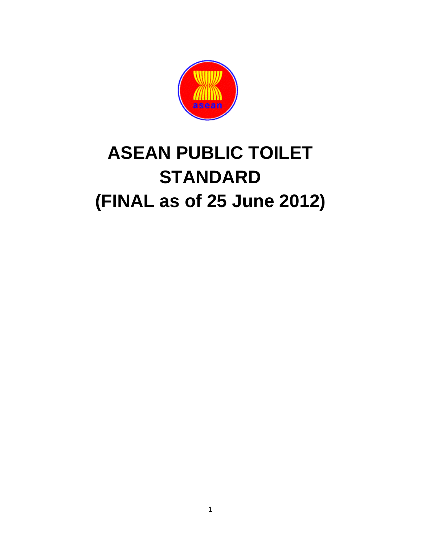

# **ASEAN PUBLIC TOILET STANDARD (FINAL as of 25 June 2012)**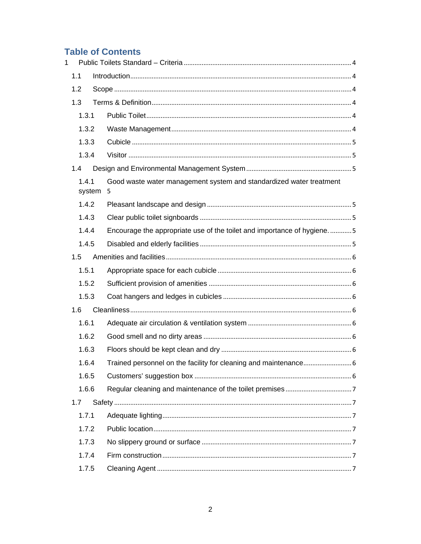# **Table of Contents**

| $\mathbf{1}$ |                 |    |                                                                        |  |
|--------------|-----------------|----|------------------------------------------------------------------------|--|
|              | 1.1             |    |                                                                        |  |
|              | 1.2             |    |                                                                        |  |
|              | 1.3             |    |                                                                        |  |
|              | 1.3.1           |    |                                                                        |  |
|              | 1.3.2           |    |                                                                        |  |
|              | 1.3.3           |    |                                                                        |  |
|              | 1.3.4           |    |                                                                        |  |
|              | 1.4             |    |                                                                        |  |
|              | 1.4.1<br>system | -5 | Good waste water management system and standardized water treatment    |  |
|              | 1.4.2           |    |                                                                        |  |
|              | 1.4.3           |    |                                                                        |  |
|              | 1.4.4           |    | Encourage the appropriate use of the toilet and importance of hygiene5 |  |
|              | 1.4.5           |    |                                                                        |  |
|              | 1.5             |    |                                                                        |  |
|              | 1.5.1           |    |                                                                        |  |
|              | 1.5.2           |    |                                                                        |  |
|              | 1.5.3           |    |                                                                        |  |
|              | 1.6             |    |                                                                        |  |
|              | 1.6.1           |    |                                                                        |  |
|              | 1.6.2           |    |                                                                        |  |
|              | 1.6.3           |    |                                                                        |  |
|              | 1.6.4           |    | Trained personnel on the facility for cleaning and maintenance 6       |  |
|              | 1.6.5           |    |                                                                        |  |
|              | 1.6.6           |    |                                                                        |  |
|              | 1.7             |    |                                                                        |  |
|              | 1.7.1           |    |                                                                        |  |
|              | 1.7.2           |    |                                                                        |  |
|              | 1.7.3           |    |                                                                        |  |
|              | 1.7.4           |    |                                                                        |  |
|              | 1.7.5           |    |                                                                        |  |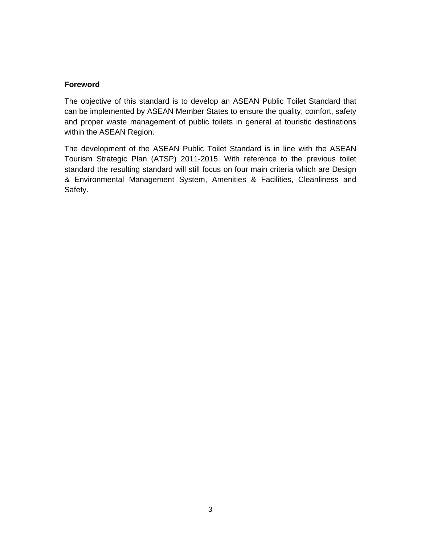# **Foreword**

The objective of this standard is to develop an ASEAN Public Toilet Standard that can be implemented by ASEAN Member States to ensure the quality, comfort, safety and proper waste management of public toilets in general at touristic destinations within the ASEAN Region.

The development of the ASEAN Public Toilet Standard is in line with the ASEAN Tourism Strategic Plan (ATSP) 2011-2015. With reference to the previous toilet standard the resulting standard will still focus on four main criteria which are Design & Environmental Management System, Amenities & Facilities, Cleanliness and Safety.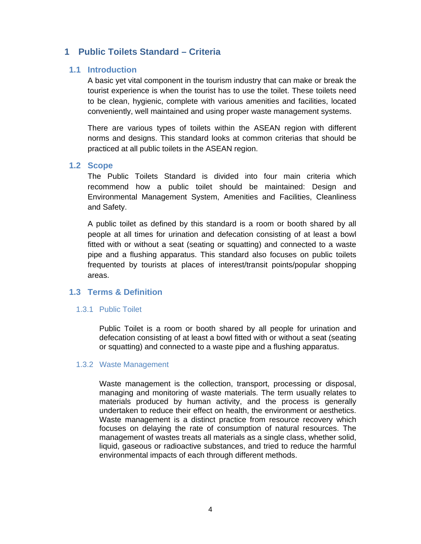# **1 Public Toilets Standard – Criteria**

# **1.1 Introduction**

A basic yet vital component in the tourism industry that can make or break the tourist experience is when the tourist has to use the toilet. These toilets need to be clean, hygienic, complete with various amenities and facilities, located conveniently, well maintained and using proper waste management systems.

There are various types of toilets within the ASEAN region with different norms and designs. This standard looks at common criterias that should be practiced at all public toilets in the ASEAN region.

# **1.2 Scope**

The Public Toilets Standard is divided into four main criteria which recommend how a public toilet should be maintained: Design and Environmental Management System, Amenities and Facilities, Cleanliness and Safety.

A public toilet as defined by this standard is a room or booth shared by all people at all times for urination and defecation consisting of at least a bowl fitted with or without a seat (seating or squatting) and connected to a waste pipe and a flushing apparatus. This standard also focuses on public toilets frequented by tourists at places of interest/transit points/popular shopping areas.

# **1.3 Terms & Definition**

# 1.3.1 Public Toilet

Public Toilet is a room or booth shared by all people for urination and defecation consisting of at least a bowl fitted with or without a seat (seating or squatting) and connected to a waste pipe and a flushing apparatus.

# 1.3.2 Waste Management

Waste management is the collection, transport, processing or disposal, managing and monitoring of waste materials. The term usually relates to materials produced by human activity, and the process is generally undertaken to reduce their effect on health, the environment or aesthetics. Waste management is a distinct practice from resource recovery which focuses on delaying the rate of consumption of natural resources. The management of wastes treats all materials as a single class, whether solid, liquid, gaseous or radioactive substances, and tried to reduce the harmful environmental impacts of each through different methods.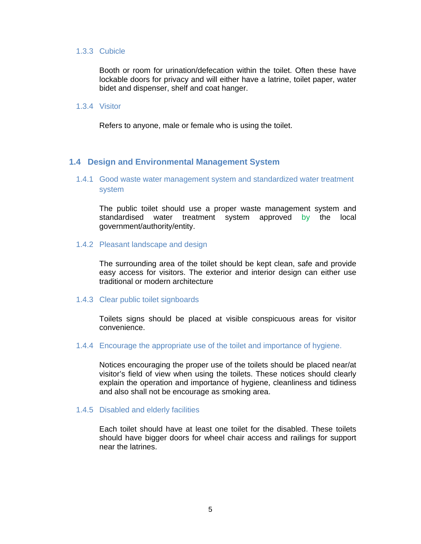#### 1.3.3 Cubicle

Booth or room for urination/defecation within the toilet. Often these have lockable doors for privacy and will either have a latrine, toilet paper, water bidet and dispenser, shelf and coat hanger.

# 1.3.4 Visitor

Refers to anyone, male or female who is using the toilet.

# **1.4 Design and Environmental Management System**

# 1.4.1 Good waste water management system and standardized water treatment system

The public toilet should use a proper waste management system and standardised water treatment system approved by the local government/authority/entity.

#### 1.4.2 Pleasant landscape and design

The surrounding area of the toilet should be kept clean, safe and provide easy access for visitors. The exterior and interior design can either use traditional or modern architecture

#### 1.4.3 Clear public toilet signboards

Toilets signs should be placed at visible conspicuous areas for visitor convenience.

#### 1.4.4 Encourage the appropriate use of the toilet and importance of hygiene.

Notices encouraging the proper use of the toilets should be placed near/at visitor's field of view when using the toilets. These notices should clearly explain the operation and importance of hygiene, cleanliness and tidiness and also shall not be encourage as smoking area.

#### 1.4.5 Disabled and elderly facilities

Each toilet should have at least one toilet for the disabled. These toilets should have bigger doors for wheel chair access and railings for support near the latrines.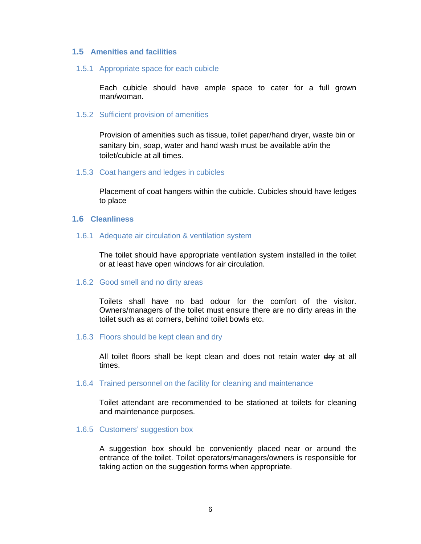# **1.5 Amenities and facilities**

1.5.1 Appropriate space for each cubicle

Each cubicle should have ample space to cater for a full grown man/woman.

#### 1.5.2 Sufficient provision of amenities

Provision of amenities such as tissue, toilet paper/hand dryer, waste bin or sanitary bin, soap, water and hand wash must be available at/in the toilet/cubicle at all times.

#### 1.5.3 Coat hangers and ledges in cubicles

Placement of coat hangers within the cubicle. Cubicles should have ledges to place

# **1.6 Cleanliness**

#### 1.6.1 Adequate air circulation & ventilation system

The toilet should have appropriate ventilation system installed in the toilet or at least have open windows for air circulation.

#### 1.6.2 Good smell and no dirty areas

Toilets shall have no bad odour for the comfort of the visitor. Owners/managers of the toilet must ensure there are no dirty areas in the toilet such as at corners, behind toilet bowls etc.

#### 1.6.3 Floors should be kept clean and dry

All toilet floors shall be kept clean and does not retain water dry at all times.

#### 1.6.4 Trained personnel on the facility for cleaning and maintenance

Toilet attendant are recommended to be stationed at toilets for cleaning and maintenance purposes.

#### 1.6.5 Customers' suggestion box

A suggestion box should be conveniently placed near or around the entrance of the toilet. Toilet operators/managers/owners is responsible for taking action on the suggestion forms when appropriate.